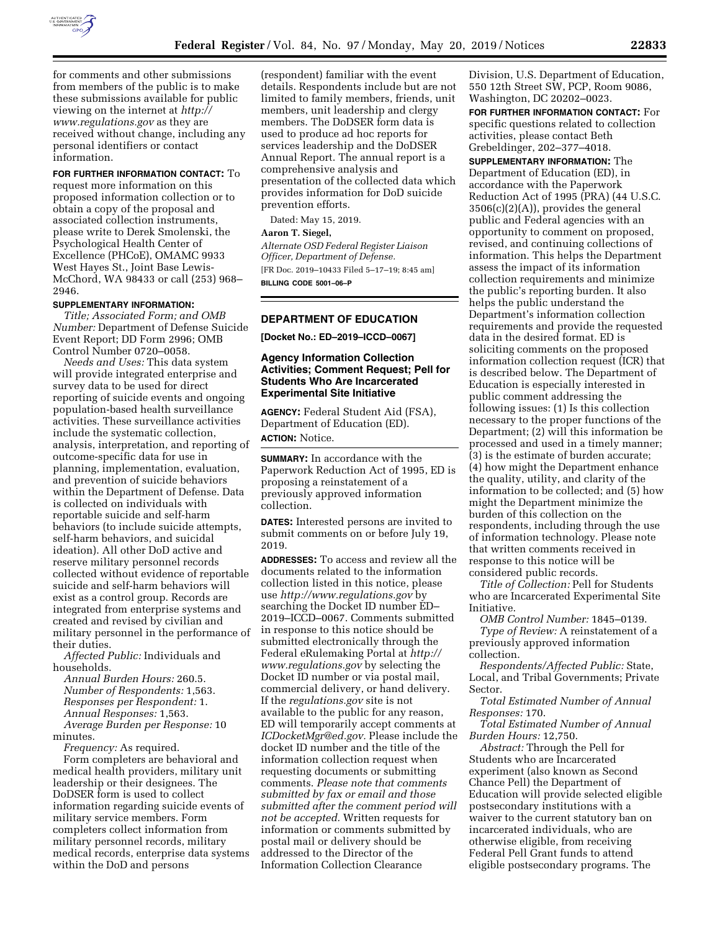

for comments and other submissions from members of the public is to make these submissions available for public viewing on the internet at *[http://](http://www.regulations.gov) [www.regulations.gov](http://www.regulations.gov)* as they are received without change, including any personal identifiers or contact information.

#### **FOR FURTHER INFORMATION CONTACT:** To

request more information on this proposed information collection or to obtain a copy of the proposal and associated collection instruments, please write to Derek Smolenski, the Psychological Health Center of Excellence (PHCoE), OMAMC 9933 West Hayes St., Joint Base Lewis-McChord, WA 98433 or call (253) 968– 2946.

## **SUPPLEMENTARY INFORMATION:**

*Title; Associated Form; and OMB Number:* Department of Defense Suicide Event Report; DD Form 2996; OMB Control Number 0720–0058.

*Needs and Uses:* This data system will provide integrated enterprise and survey data to be used for direct reporting of suicide events and ongoing population-based health surveillance activities. These surveillance activities include the systematic collection, analysis, interpretation, and reporting of outcome-specific data for use in planning, implementation, evaluation, and prevention of suicide behaviors within the Department of Defense. Data is collected on individuals with reportable suicide and self-harm behaviors (to include suicide attempts, self-harm behaviors, and suicidal ideation). All other DoD active and reserve military personnel records collected without evidence of reportable suicide and self-harm behaviors will exist as a control group. Records are integrated from enterprise systems and created and revised by civilian and military personnel in the performance of their duties.

*Affected Public:* Individuals and households.

*Annual Burden Hours:* 260.5. *Number of Respondents:* 1,563. *Responses per Respondent:* 1. *Annual Responses:* 1,563. *Average Burden per Response:* 10 minutes.

*Frequency:* As required.

Form completers are behavioral and medical health providers, military unit leadership or their designees. The DoDSER form is used to collect information regarding suicide events of military service members. Form completers collect information from military personnel records, military medical records, enterprise data systems within the DoD and persons

(respondent) familiar with the event details. Respondents include but are not limited to family members, friends, unit members, unit leadership and clergy members. The DoDSER form data is used to produce ad hoc reports for services leadership and the DoDSER Annual Report. The annual report is a comprehensive analysis and presentation of the collected data which provides information for DoD suicide prevention efforts.

Dated: May 15, 2019.

## **Aaron T. Siegel,**

*Alternate OSD Federal Register Liaison Officer, Department of Defense.*  [FR Doc. 2019–10433 Filed 5–17–19; 8:45 am] **BILLING CODE 5001–06–P** 

### **DEPARTMENT OF EDUCATION**

**[Docket No.: ED–2019–ICCD–0067]** 

## **Agency Information Collection Activities; Comment Request; Pell for Students Who Are Incarcerated Experimental Site Initiative**

**AGENCY:** Federal Student Aid (FSA), Department of Education (ED). **ACTION:** Notice.

**SUMMARY:** In accordance with the Paperwork Reduction Act of 1995, ED is proposing a reinstatement of a previously approved information collection.

**DATES:** Interested persons are invited to submit comments on or before July 19, 2019.

**ADDRESSES:** To access and review all the documents related to the information collection listed in this notice, please use *<http://www.regulations.gov>*by searching the Docket ID number ED– 2019–ICCD–0067. Comments submitted in response to this notice should be submitted electronically through the Federal eRulemaking Portal at *[http://](http://www.regulations.gov) [www.regulations.gov](http://www.regulations.gov)* by selecting the Docket ID number or via postal mail, commercial delivery, or hand delivery. If the *regulations.gov* site is not available to the public for any reason, ED will temporarily accept comments at *[ICDocketMgr@ed.gov.](mailto:ICDocketMgr@ed.gov)* Please include the docket ID number and the title of the information collection request when requesting documents or submitting comments. *Please note that comments submitted by fax or email and those submitted after the comment period will not be accepted.* Written requests for information or comments submitted by postal mail or delivery should be addressed to the Director of the Information Collection Clearance

Division, U.S. Department of Education, 550 12th Street SW, PCP, Room 9086, Washington, DC 20202–0023.

**FOR FURTHER INFORMATION CONTACT:** For specific questions related to collection activities, please contact Beth Grebeldinger, 202–377–4018.

**SUPPLEMENTARY INFORMATION:** The Department of Education (ED), in accordance with the Paperwork Reduction Act of 1995 (PRA) (44 U.S.C.  $3506(c)(2)(A)$ , provides the general public and Federal agencies with an opportunity to comment on proposed, revised, and continuing collections of information. This helps the Department assess the impact of its information collection requirements and minimize the public's reporting burden. It also helps the public understand the Department's information collection requirements and provide the requested data in the desired format. ED is soliciting comments on the proposed information collection request (ICR) that is described below. The Department of Education is especially interested in public comment addressing the following issues: (1) Is this collection necessary to the proper functions of the Department; (2) will this information be processed and used in a timely manner; (3) is the estimate of burden accurate; (4) how might the Department enhance the quality, utility, and clarity of the information to be collected; and (5) how might the Department minimize the burden of this collection on the respondents, including through the use of information technology. Please note that written comments received in response to this notice will be considered public records.

*Title of Collection:* Pell for Students who are Incarcerated Experimental Site Initiative.

*OMB Control Number:* 1845–0139. *Type of Review:* A reinstatement of a previously approved information collection.

*Respondents/Affected Public:* State, Local, and Tribal Governments; Private Sector.

*Total Estimated Number of Annual Responses:* 170.

*Total Estimated Number of Annual Burden Hours:* 12,750.

*Abstract:* Through the Pell for Students who are Incarcerated experiment (also known as Second Chance Pell) the Department of Education will provide selected eligible postsecondary institutions with a waiver to the current statutory ban on incarcerated individuals, who are otherwise eligible, from receiving Federal Pell Grant funds to attend eligible postsecondary programs. The